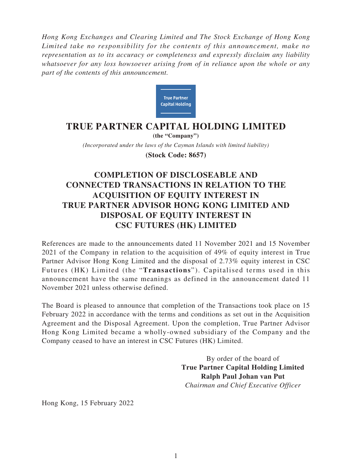*Hong Kong Exchanges and Clearing Limited and The Stock Exchange of Hong Kong Limited take no responsibility for the contents of this announcement, make no representation as to its accuracy or completeness and expressly disclaim any liability whatsoever for any loss howsoever arising from of in reliance upon the whole or any part of the contents of this announcement.*



## **TRUE PARTNER CAPITAL HOLDING LIMITED**

*(Incorporated under the laws of the Cayman Islands with limited liability)* **(the "Company") (Stock Code: 8657)**

## **COMPLETION OF DISCLOSEABLE AND CONNECTED TRANSACTIONS IN RELATION TO THE ACQUISITION OF EQUITY INTEREST IN TRUE PARTNER ADVISOR HONG KONG LIMITED AND DISPOSAL OF EQUITY INTEREST IN CSC FUTURES (HK) LIMITED**

References are made to the announcements dated 11 November 2021 and 15 November 2021 of the Company in relation to the acquisition of 49% of equity interest in True Partner Advisor Hong Kong Limited and the disposal of 2.73% equity interest in CSC Futures (HK) Limited (the "**Transactions**"). Capitalised terms used in this announcement have the same meanings as defined in the announcement dated 11 November 2021 unless otherwise defined.

The Board is pleased to announce that completion of the Transactions took place on 15 February 2022 in accordance with the terms and conditions as set out in the Acquisition Agreement and the Disposal Agreement. Upon the completion, True Partner Advisor Hong Kong Limited became a wholly-owned subsidiary of the Company and the Company ceased to have an interest in CSC Futures (HK) Limited.

> By order of the board of **True Partner Capital Holding Limited Ralph Paul Johan van Put** *Chairman and Chief Executive Officer*

Hong Kong, 15 February 2022